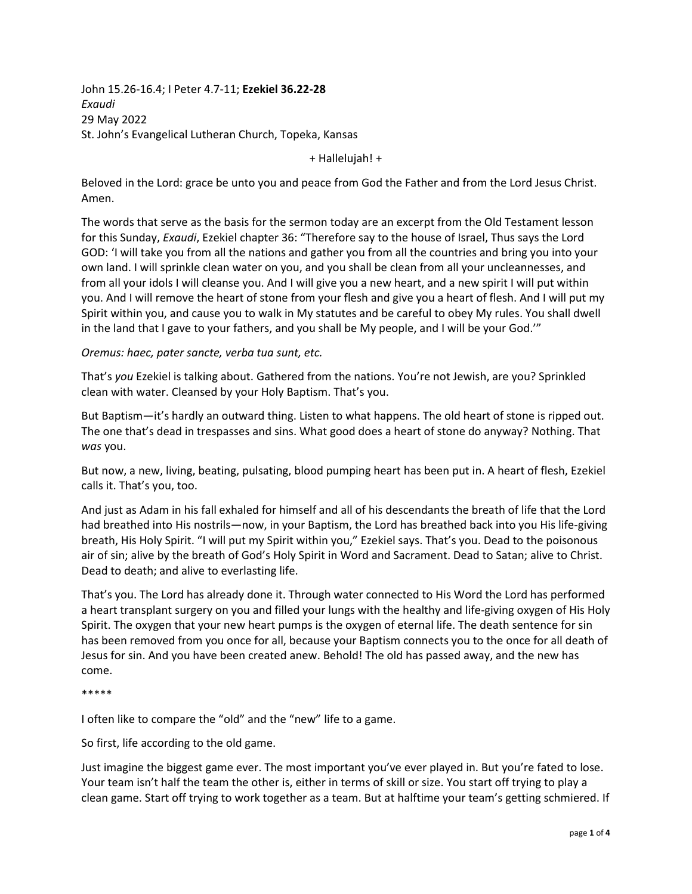John 15.26-16.4; I Peter 4.7-11; **Ezekiel 36.22-28** *Exaudi* 29 May 2022 St. John's Evangelical Lutheran Church, Topeka, Kansas

+ Hallelujah! +

Beloved in the Lord: grace be unto you and peace from God the Father and from the Lord Jesus Christ. Amen.

The words that serve as the basis for the sermon today are an excerpt from the Old Testament lesson for this Sunday, *Exaudi*, Ezekiel chapter 36: "Therefore say to the house of Israel, Thus says the Lord GOD: 'I will take you from all the nations and gather you from all the countries and bring you into your own land. I will sprinkle clean water on you, and you shall be clean from all your uncleannesses, and from all your idols I will cleanse you. And I will give you a new heart, and a new spirit I will put within you. And I will remove the heart of stone from your flesh and give you a heart of flesh. And I will put my Spirit within you, and cause you to walk in My statutes and be careful to obey My rules. You shall dwell in the land that I gave to your fathers, and you shall be My people, and I will be your God.'"

*Oremus: haec, pater sancte, verba tua sunt, etc.* 

That's *you* Ezekiel is talking about. Gathered from the nations. You're not Jewish, are you? Sprinkled clean with water. Cleansed by your Holy Baptism. That's you.

But Baptism—it's hardly an outward thing. Listen to what happens. The old heart of stone is ripped out. The one that's dead in trespasses and sins. What good does a heart of stone do anyway? Nothing. That *was* you.

But now, a new, living, beating, pulsating, blood pumping heart has been put in. A heart of flesh, Ezekiel calls it. That's you, too.

And just as Adam in his fall exhaled for himself and all of his descendants the breath of life that the Lord had breathed into His nostrils—now, in your Baptism, the Lord has breathed back into you His life-giving breath, His Holy Spirit. "I will put my Spirit within you," Ezekiel says. That's you. Dead to the poisonous air of sin; alive by the breath of God's Holy Spirit in Word and Sacrament. Dead to Satan; alive to Christ. Dead to death; and alive to everlasting life.

That's you. The Lord has already done it. Through water connected to His Word the Lord has performed a heart transplant surgery on you and filled your lungs with the healthy and life-giving oxygen of His Holy Spirit. The oxygen that your new heart pumps is the oxygen of eternal life. The death sentence for sin has been removed from you once for all, because your Baptism connects you to the once for all death of Jesus for sin. And you have been created anew. Behold! The old has passed away, and the new has come.

\*\*\*\*\*

I often like to compare the "old" and the "new" life to a game.

So first, life according to the old game.

Just imagine the biggest game ever. The most important you've ever played in. But you're fated to lose. Your team isn't half the team the other is, either in terms of skill or size. You start off trying to play a clean game. Start off trying to work together as a team. But at halftime your team's getting schmiered. If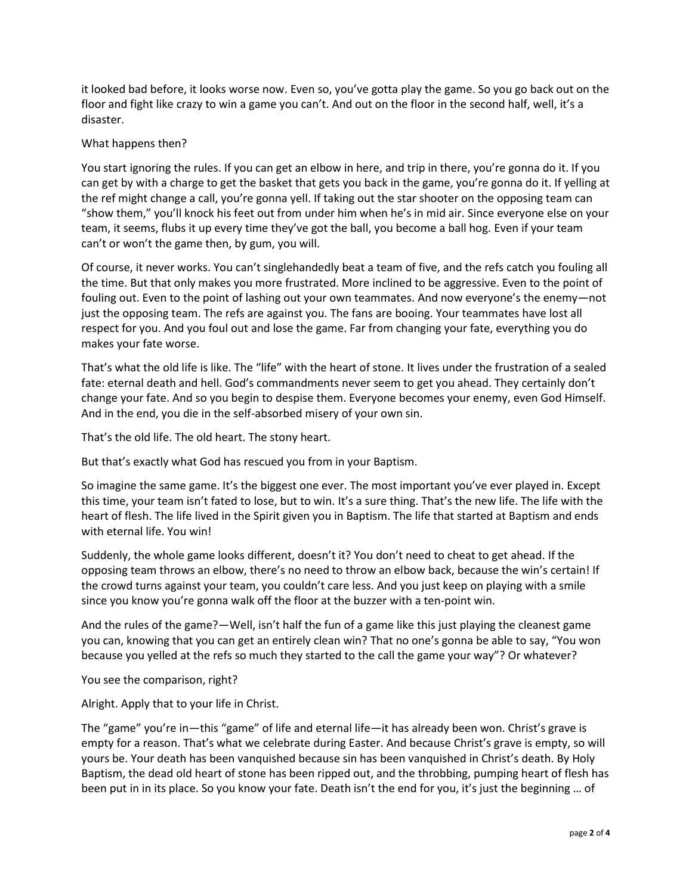it looked bad before, it looks worse now. Even so, you've gotta play the game. So you go back out on the floor and fight like crazy to win a game you can't. And out on the floor in the second half, well, it's a disaster.

## What happens then?

You start ignoring the rules. If you can get an elbow in here, and trip in there, you're gonna do it. If you can get by with a charge to get the basket that gets you back in the game, you're gonna do it. If yelling at the ref might change a call, you're gonna yell. If taking out the star shooter on the opposing team can "show them," you'll knock his feet out from under him when he's in mid air. Since everyone else on your team, it seems, flubs it up every time they've got the ball, you become a ball hog. Even if your team can't or won't the game then, by gum, you will.

Of course, it never works. You can't singlehandedly beat a team of five, and the refs catch you fouling all the time. But that only makes you more frustrated. More inclined to be aggressive. Even to the point of fouling out. Even to the point of lashing out your own teammates. And now everyone's the enemy—not just the opposing team. The refs are against you. The fans are booing. Your teammates have lost all respect for you. And you foul out and lose the game. Far from changing your fate, everything you do makes your fate worse.

That's what the old life is like. The "life" with the heart of stone. It lives under the frustration of a sealed fate: eternal death and hell. God's commandments never seem to get you ahead. They certainly don't change your fate. And so you begin to despise them. Everyone becomes your enemy, even God Himself. And in the end, you die in the self-absorbed misery of your own sin.

That's the old life. The old heart. The stony heart.

But that's exactly what God has rescued you from in your Baptism.

So imagine the same game. It's the biggest one ever. The most important you've ever played in. Except this time, your team isn't fated to lose, but to win. It's a sure thing. That's the new life. The life with the heart of flesh. The life lived in the Spirit given you in Baptism. The life that started at Baptism and ends with eternal life. You win!

Suddenly, the whole game looks different, doesn't it? You don't need to cheat to get ahead. If the opposing team throws an elbow, there's no need to throw an elbow back, because the win's certain! If the crowd turns against your team, you couldn't care less. And you just keep on playing with a smile since you know you're gonna walk off the floor at the buzzer with a ten-point win.

And the rules of the game?—Well, isn't half the fun of a game like this just playing the cleanest game you can, knowing that you can get an entirely clean win? That no one's gonna be able to say, "You won because you yelled at the refs so much they started to the call the game your way"? Or whatever?

You see the comparison, right?

Alright. Apply that to your life in Christ.

The "game" you're in—this "game" of life and eternal life—it has already been won. Christ's grave is empty for a reason. That's what we celebrate during Easter. And because Christ's grave is empty, so will yours be. Your death has been vanquished because sin has been vanquished in Christ's death. By Holy Baptism, the dead old heart of stone has been ripped out, and the throbbing, pumping heart of flesh has been put in in its place. So you know your fate. Death isn't the end for you, it's just the beginning ... of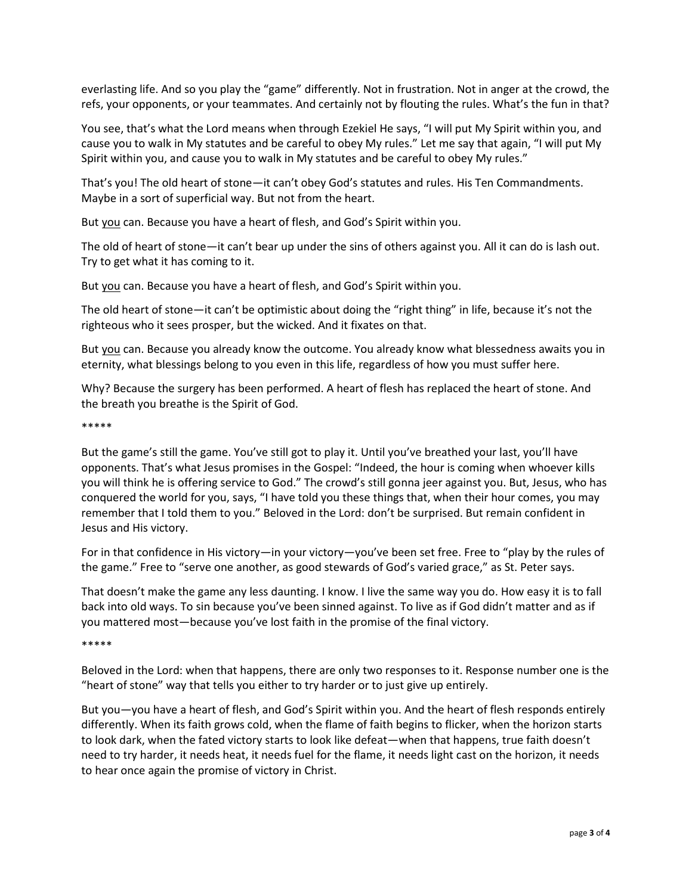everlasting life. And so you play the "game" differently. Not in frustration. Not in anger at the crowd, the refs, your opponents, or your teammates. And certainly not by flouting the rules. What's the fun in that?

You see, that's what the Lord means when through Ezekiel He says, "I will put My Spirit within you, and cause you to walk in My statutes and be careful to obey My rules." Let me say that again, "I will put My Spirit within you, and cause you to walk in My statutes and be careful to obey My rules."

That's you! The old heart of stone—it can't obey God's statutes and rules. His Ten Commandments. Maybe in a sort of superficial way. But not from the heart.

But you can. Because you have a heart of flesh, and God's Spirit within you.

The old of heart of stone—it can't bear up under the sins of others against you. All it can do is lash out. Try to get what it has coming to it.

But you can. Because you have a heart of flesh, and God's Spirit within you.

The old heart of stone—it can't be optimistic about doing the "right thing" in life, because it's not the righteous who it sees prosper, but the wicked. And it fixates on that.

But you can. Because you already know the outcome. You already know what blessedness awaits you in eternity, what blessings belong to you even in this life, regardless of how you must suffer here.

Why? Because the surgery has been performed. A heart of flesh has replaced the heart of stone. And the breath you breathe is the Spirit of God.

\*\*\*\*\*

But the game's still the game. You've still got to play it. Until you've breathed your last, you'll have opponents. That's what Jesus promises in the Gospel: "Indeed, the hour is coming when whoever kills you will think he is offering service to God." The crowd's still gonna jeer against you. But, Jesus, who has conquered the world for you, says, "I have told you these things that, when their hour comes, you may remember that I told them to you." Beloved in the Lord: don't be surprised. But remain confident in Jesus and His victory.

For in that confidence in His victory—in your victory—you've been set free. Free to "play by the rules of the game." Free to "serve one another, as good stewards of God's varied grace," as St. Peter says.

That doesn't make the game any less daunting. I know. I live the same way you do. How easy it is to fall back into old ways. To sin because you've been sinned against. To live as if God didn't matter and as if you mattered most—because you've lost faith in the promise of the final victory.

\*\*\*\*\*

Beloved in the Lord: when that happens, there are only two responses to it. Response number one is the "heart of stone" way that tells you either to try harder or to just give up entirely.

But you—you have a heart of flesh, and God's Spirit within you. And the heart of flesh responds entirely differently. When its faith grows cold, when the flame of faith begins to flicker, when the horizon starts to look dark, when the fated victory starts to look like defeat—when that happens, true faith doesn't need to try harder, it needs heat, it needs fuel for the flame, it needs light cast on the horizon, it needs to hear once again the promise of victory in Christ.